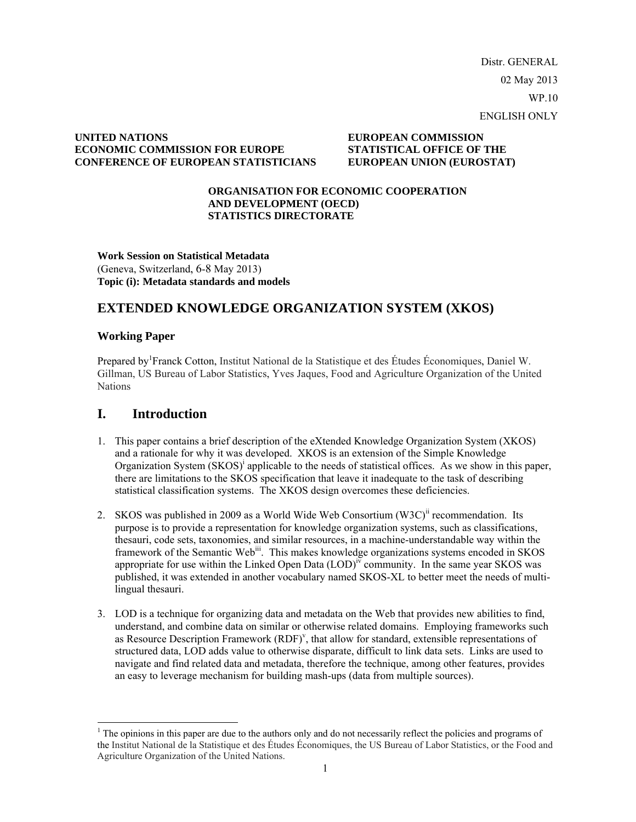Distr. GENERAL 02 May 2013 WP.10 ENGLISH ONLY

#### **UNITED NATIONS ECONOMIC COMMISSION FOR EUROPE CONFERENCE OF EUROPEAN STATISTICIANS**

#### **EUROPEAN COMMISSION STATISTICAL OFFICE OF THE EUROPEAN UNION (EUROSTAT)**

#### **ORGANISATION FOR ECONOMIC COOPERATION AND DEVELOPMENT (OECD) STATISTICS DIRECTORATE**

**Work Session on Statistical Metadata**  (Geneva, Switzerland, 6-8 May 2013) **Topic (i): Metadata standards and models** 

# **EXTENDED KNOWLEDGE ORGANIZATION SYSTEM (XKOS)**

### **Working Paper**

-

Prepared by<sup>1</sup>Franck Cotton, Institut National de la Statistique et des Études Économiques, Daniel W. Gillman, US Bureau of Labor Statistics, Yves Jaques, Food and Agriculture Organization of the United Nations

# **I. Introduction**

- 1. This paper contains a brief description of the eXtended Knowledge Organization System (XKOS) and a rationale for why it was developed. XKOS is an extension of the Simple Knowledge Organization System (SKOS)<sup>i</sup> applicable to the needs of statistical offices. As we show in this paper, there are limitations to the SKOS specification that leave it inadequate to the task of describing statistical classification systems. The XKOS design overcomes these deficiencies.
- 2. SKOS was published in 2009 as a World Wide Web Consortium  $(W3C)^{ii}$  recommendation. Its purpose is to provide a representation for knowledge organization systems, such as classifications, thesauri, code sets, taxonomies, and similar resources, in a machine-understandable way within the framework of the Semantic Web<sup>iii</sup>. This makes knowledge organizations systems encoded in SKOS appropriate for use within the Linked Open Data  $(LOD)^{iv}$  community. In the same year SKOS was published, it was extended in another vocabulary named SKOS-XL to better meet the needs of multilingual thesauri.
- 3. LOD is a technique for organizing data and metadata on the Web that provides new abilities to find, understand, and combine data on similar or otherwise related domains. Employing frameworks such as Resource Description Framework (RDF)<sup>v</sup>, that allow for standard, extensible representations of structured data, LOD adds value to otherwise disparate, difficult to link data sets. Links are used to navigate and find related data and metadata, therefore the technique, among other features, provides an easy to leverage mechanism for building mash-ups (data from multiple sources).

<sup>&</sup>lt;sup>1</sup> The opinions in this paper are due to the authors only and do not necessarily reflect the policies and programs of the Institut National de la Statistique et des Études Économiques, the US Bureau of Labor Statistics, or the Food and Agriculture Organization of the United Nations.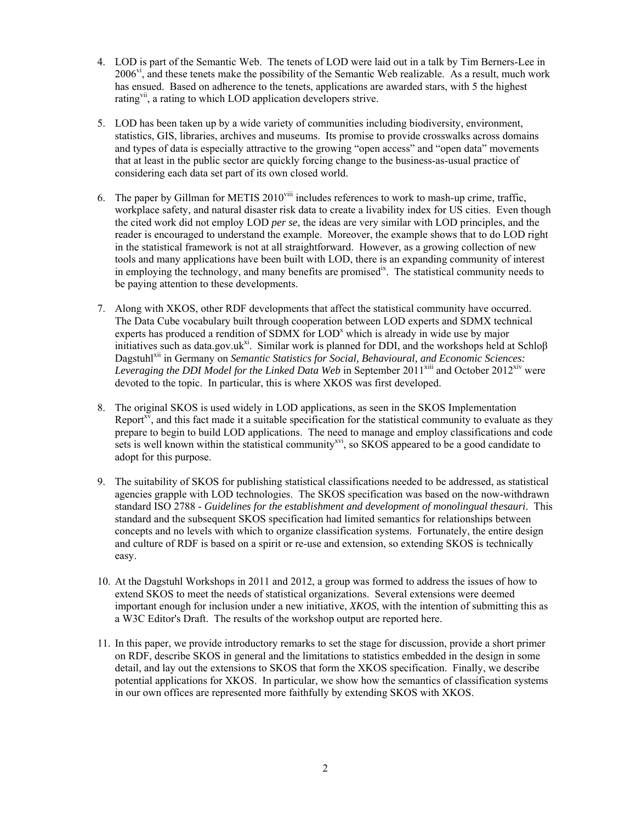- 4. LOD is part of the Semantic Web. The tenets of LOD were laid out in a talk by Tim Berners-Lee in  $2006<sup>vi</sup>$ , and these tenets make the possibility of the Semantic Web realizable. As a result, much work has ensued. Based on adherence to the tenets, applications are awarded stars, with 5 the highest rating<sup>vii</sup>, a rating to which LOD application developers strive.
- 5. LOD has been taken up by a wide variety of communities including biodiversity, environment, statistics, GIS, libraries, archives and museums. Its promise to provide crosswalks across domains and types of data is especially attractive to the growing "open access" and "open data" movements that at least in the public sector are quickly forcing change to the business-as-usual practice of considering each data set part of its own closed world.
- 6. The paper by Gillman for METIS 2010<sup>viii</sup> includes references to work to mash-up crime, traffic, workplace safety, and natural disaster risk data to create a livability index for US cities. Even though the cited work did not employ LOD *per se*, the ideas are very similar with LOD principles, and the reader is encouraged to understand the example. Moreover, the example shows that to do LOD right in the statistical framework is not at all straightforward. However, as a growing collection of new tools and many applications have been built with LOD, there is an expanding community of interest in employing the technology, and many benefits are promised<sup>18</sup>. The statistical community needs to be paying attention to these developments.
- 7. Along with XKOS, other RDF developments that affect the statistical community have occurred. The Data Cube vocabulary built through cooperation between LOD experts and SDMX technical experts has produced a rendition of SDMX for  $LOD<sup>x</sup>$  which is already in wide use by major initiatives such as data.gov.uk<sup>xi</sup>. Similar work is planned for DDI, and the workshops held at Schlo $\beta$ Dagstuhl<sup>xii</sup> in Germany on *Semantic Statistics for Social, Behavioural, and Economic Sciences: Leveraging the DDI Model for the Linked Data Web* in September 2011<sup>xiii</sup> and October 2012<sup>xiv</sup> were devoted to the topic. In particular, this is where XKOS was first developed.
- 8. The original SKOS is used widely in LOD applications, as seen in the SKOS Implementation Report<sup>xv</sup>, and this fact made it a suitable specification for the statistical community to evaluate as they prepare to begin to build LOD applications. The need to manage and employ classifications and code sets is well known within the statistical community<sup>xvi</sup>, so SKOS appeared to be a good candidate to adopt for this purpose.
- 9. The suitability of SKOS for publishing statistical classifications needed to be addressed, as statistical agencies grapple with LOD technologies. The SKOS specification was based on the now-withdrawn standard ISO 2788 - *Guidelines for the establishment and development of monolingual thesauri*. This standard and the subsequent SKOS specification had limited semantics for relationships between concepts and no levels with which to organize classification systems. Fortunately, the entire design and culture of RDF is based on a spirit or re-use and extension, so extending SKOS is technically easy.
- 10. At the Dagstuhl Workshops in 2011 and 2012, a group was formed to address the issues of how to extend SKOS to meet the needs of statistical organizations. Several extensions were deemed important enough for inclusion under a new initiative, *XKOS*, with the intention of submitting this as a W3C Editor's Draft. The results of the workshop output are reported here.
- 11. In this paper, we provide introductory remarks to set the stage for discussion, provide a short primer on RDF, describe SKOS in general and the limitations to statistics embedded in the design in some detail, and lay out the extensions to SKOS that form the XKOS specification. Finally, we describe potential applications for XKOS. In particular, we show how the semantics of classification systems in our own offices are represented more faithfully by extending SKOS with XKOS.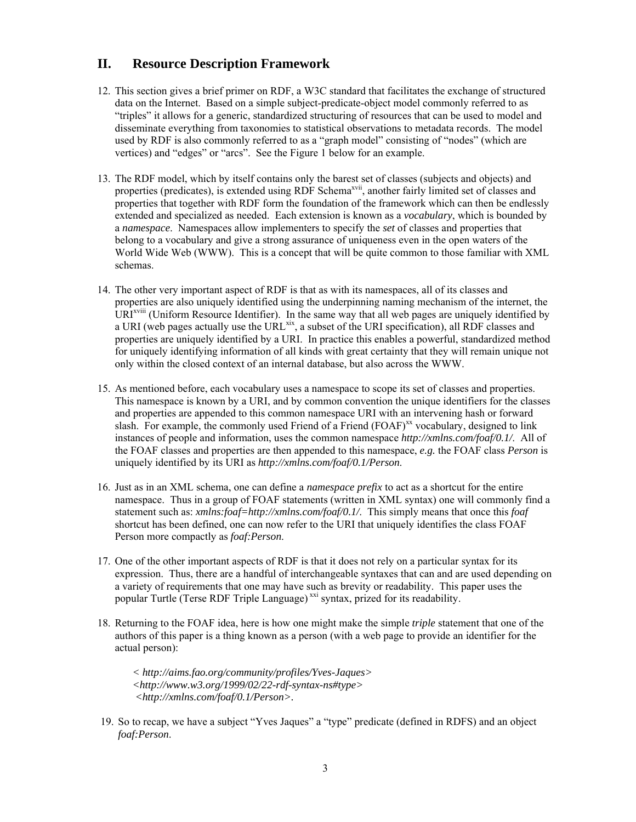## **II. Resource Description Framework**

- 12. This section gives a brief primer on RDF, a W3C standard that facilitates the exchange of structured data on the Internet. Based on a simple subject-predicate-object model commonly referred to as "triples" it allows for a generic, standardized structuring of resources that can be used to model and disseminate everything from taxonomies to statistical observations to metadata records. The model used by RDF is also commonly referred to as a "graph model" consisting of "nodes" (which are vertices) and "edges" or "arcs". See the Figure 1 below for an example.
- 13. The RDF model, which by itself contains only the barest set of classes (subjects and objects) and properties (predicates), is extended using RDF Schema<sup>xvii</sup>, another fairly limited set of classes and properties that together with RDF form the foundation of the framework which can then be endlessly extended and specialized as needed. Each extension is known as a *vocabulary*, which is bounded by a *namespace*. Namespaces allow implementers to specify the *set* of classes and properties that belong to a vocabulary and give a strong assurance of uniqueness even in the open waters of the World Wide Web (WWW). This is a concept that will be quite common to those familiar with XML schemas.
- 14. The other very important aspect of RDF is that as with its namespaces, all of its classes and properties are also uniquely identified using the underpinning naming mechanism of the internet, the URI<sup>xviii</sup> (Uniform Resource Identifier). In the same way that all web pages are uniquely identified by a URI (web pages actually use the URL<sup>xix</sup>, a subset of the URI specification), all RDF classes and properties are uniquely identified by a URI. In practice this enables a powerful, standardized method for uniquely identifying information of all kinds with great certainty that they will remain unique not only within the closed context of an internal database, but also across the WWW.
- 15. As mentioned before, each vocabulary uses a namespace to scope its set of classes and properties. This namespace is known by a URI, and by common convention the unique identifiers for the classes and properties are appended to this common namespace URI with an intervening hash or forward slash. For example, the commonly used Friend of a Friend  $(FOAF)^{xx}$  vocabulary, designed to link instances of people and information, uses the common namespace *http://xmlns.com/foaf/0.1/*. All of the FOAF classes and properties are then appended to this namespace, *e.g.* the FOAF class *Person* is uniquely identified by its URI as *http://xmlns.com/foaf/0.1/Person*.
- 16. Just as in an XML schema, one can define a *namespace prefix* to act as a shortcut for the entire namespace. Thus in a group of FOAF statements (written in XML syntax) one will commonly find a statement such as: *xmlns:foaf=http://xmlns.com/foaf/0.1/*. This simply means that once this *foaf* shortcut has been defined, one can now refer to the URI that uniquely identifies the class FOAF Person more compactly as *foaf:Person*.
- 17. One of the other important aspects of RDF is that it does not rely on a particular syntax for its expression. Thus, there are a handful of interchangeable syntaxes that can and are used depending on a variety of requirements that one may have such as brevity or readability. This paper uses the popular Turtle (Terse RDF Triple Language)<sup>xxi</sup> syntax, prized for its readability.
- 18. Returning to the FOAF idea, here is how one might make the simple *triple* statement that one of the authors of this paper is a thing known as a person (with a web page to provide an identifier for the actual person):

*< http://aims.fao.org/community/profiles/Yves-Jaques> <http://www.w3.org/1999/02/22-rdf-syntax-ns#type> <http://xmlns.com/foaf/0.1/Person>.* 

19. So to recap, we have a subject "Yves Jaques" a "type" predicate (defined in RDFS) and an object *foaf:Person*.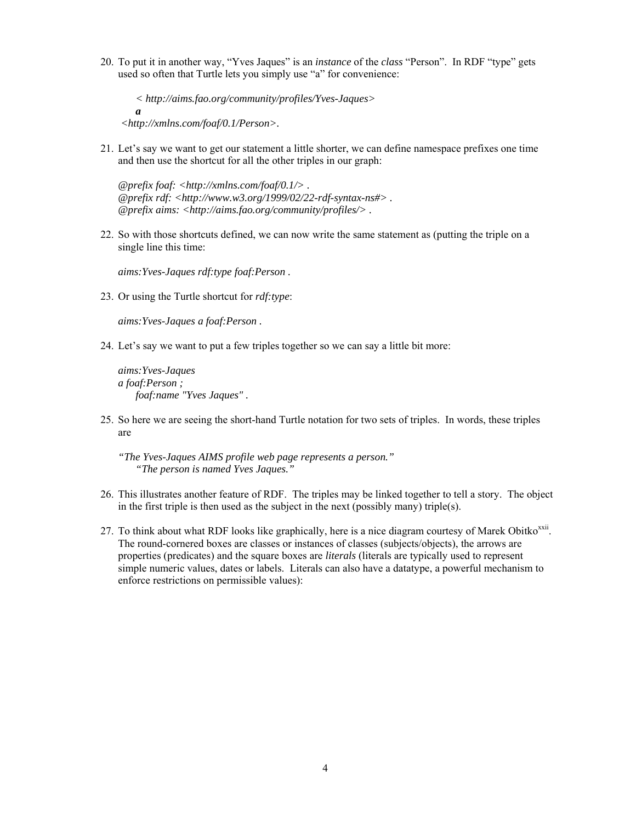20. To put it in another way, "Yves Jaques" is an *instance* of the *class* "Person". In RDF "type" gets used so often that Turtle lets you simply use "a" for convenience:

*< http://aims.fao.org/community/profiles/Yves-Jaques> a <http://xmlns.com/foaf/0.1/Person>.*

21. Let's say we want to get our statement a little shorter, we can define namespace prefixes one time and then use the shortcut for all the other triples in our graph:

*@prefix foaf: <http://xmlns.com/foaf/0.1/> . @prefix rdf: <http://www.w3.org/1999/02/22-rdf-syntax-ns#> . @prefix aims: <http://aims.fao.org/community/profiles/> .* 

22. So with those shortcuts defined, we can now write the same statement as (putting the triple on a single line this time:

*aims:Yves-Jaques rdf:type foaf:Person .* 

23. Or using the Turtle shortcut for *rdf:type*:

*aims:Yves-Jaques a foaf:Person .*

24. Let's say we want to put a few triples together so we can say a little bit more:

*aims:Yves-Jaques a foaf:Person ; foaf:name "Yves Jaques" .* 

25. So here we are seeing the short-hand Turtle notation for two sets of triples. In words, these triples are

*"The Yves-Jaques AIMS profile web page represents a person." "The person is named Yves Jaques."* 

- 26. This illustrates another feature of RDF. The triples may be linked together to tell a story. The object in the first triple is then used as the subject in the next (possibly many) triple(s).
- 27. To think about what RDF looks like graphically, here is a nice diagram courtesy of Marek Obitko<sup>xxii</sup>. The round-cornered boxes are classes or instances of classes (subjects/objects), the arrows are properties (predicates) and the square boxes are *literals* (literals are typically used to represent simple numeric values, dates or labels. Literals can also have a datatype, a powerful mechanism to enforce restrictions on permissible values):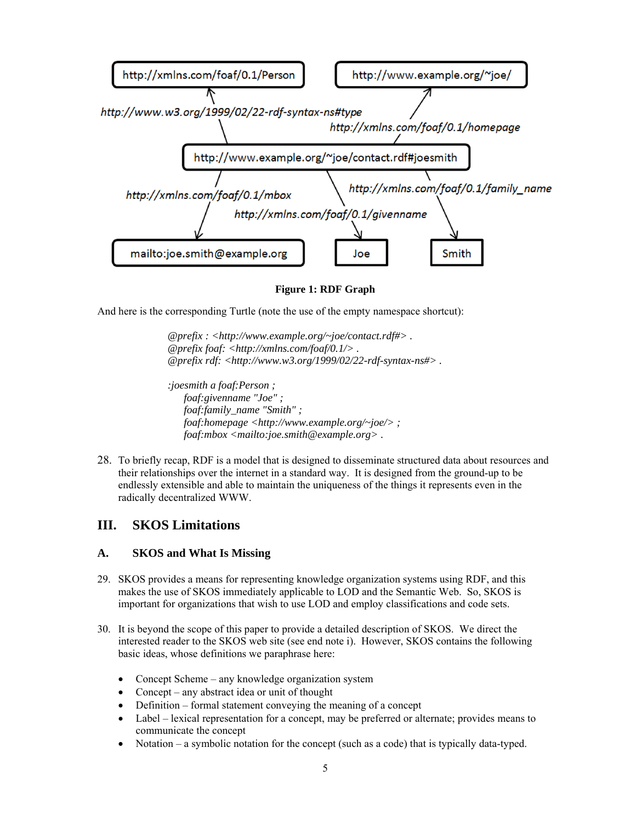

**Figure 1: RDF Graph** 

And here is the corresponding Turtle (note the use of the empty namespace shortcut):

*@prefix : <http://www.example.org/~joe/contact.rdf#> . @prefix foaf: <http://xmlns.com/foaf/0.1/> . @prefix rdf: <http://www.w3.org/1999/02/22-rdf-syntax-ns#> .* 

*:joesmith a foaf:Person ; foaf:givenname "Joe" ; foaf:family\_name "Smith" ; foaf:homepage <http://www.example.org/~joe/> ; foaf:mbox <mailto:joe.smith@example.org> .* 

28. To briefly recap, RDF is a model that is designed to disseminate structured data about resources and their relationships over the internet in a standard way. It is designed from the ground-up to be endlessly extensible and able to maintain the uniqueness of the things it represents even in the radically decentralized WWW.

# **III. SKOS Limitations**

#### **A. SKOS and What Is Missing**

- 29. SKOS provides a means for representing knowledge organization systems using RDF, and this makes the use of SKOS immediately applicable to LOD and the Semantic Web. So, SKOS is important for organizations that wish to use LOD and employ classifications and code sets.
- 30. It is beyond the scope of this paper to provide a detailed description of SKOS. We direct the interested reader to the SKOS web site (see end note i). However, SKOS contains the following basic ideas, whose definitions we paraphrase here:
	- Concept Scheme any knowledge organization system
	- Concept any abstract idea or unit of thought
	- Definition formal statement conveying the meaning of a concept
	- Label lexical representation for a concept, may be preferred or alternate; provides means to communicate the concept
	- Notation a symbolic notation for the concept (such as a code) that is typically data-typed.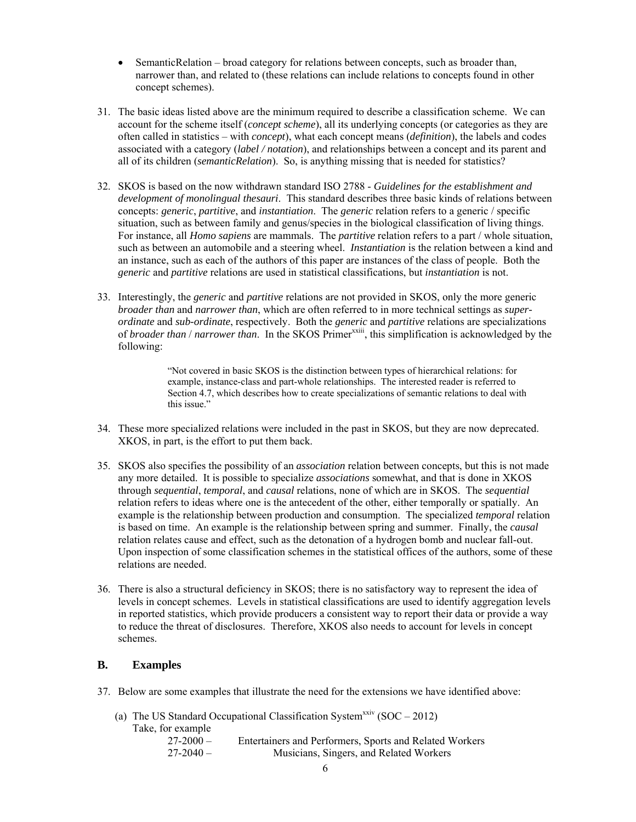- SemanticRelation broad category for relations between concepts, such as broader than, narrower than, and related to (these relations can include relations to concepts found in other concept schemes).
- 31. The basic ideas listed above are the minimum required to describe a classification scheme. We can account for the scheme itself (*concept scheme*), all its underlying concepts (or categories as they are often called in statistics – with *concept*), what each concept means (*definition*), the labels and codes associated with a category (*label / notation*), and relationships between a concept and its parent and all of its children (*semanticRelation*). So, is anything missing that is needed for statistics?
- 32. SKOS is based on the now withdrawn standard ISO 2788 *Guidelines for the establishment and development of monolingual thesauri*. This standard describes three basic kinds of relations between concepts: *generic*, *partitive*, and *instantiation*. The *generic* relation refers to a generic / specific situation, such as between family and genus/species in the biological classification of living things. For instance, all *Homo sapiens* are mammals. The *partitive* relation refers to a part / whole situation, such as between an automobile and a steering wheel. *Instantiation* is the relation between a kind and an instance, such as each of the authors of this paper are instances of the class of people. Both the *generic* and *partitive* relations are used in statistical classifications, but *instantiation* is not.
- 33. Interestingly, the *generic* and *partitive* relations are not provided in SKOS, only the more generic *broader than* and *narrower than*, which are often referred to in more technical settings as *superordinate* and *sub-ordinate*, respectively. Both the *generic* and *partitive* relations are specializations of *broader than* / *narrower than*. In the SKOS Primerxxiii, this simplification is acknowledged by the following:

"Not covered in basic SKOS is the distinction between types of hierarchical relations: for example, instance-class and part-whole relationships. The interested reader is referred to Section 4.7, which describes how to create specializations of semantic relations to deal with this issue."

- 34. These more specialized relations were included in the past in SKOS, but they are now deprecated. XKOS, in part, is the effort to put them back.
- 35. SKOS also specifies the possibility of an *association* relation between concepts, but this is not made any more detailed. It is possible to specialize *associations* somewhat, and that is done in XKOS through *sequential*, *temporal*, and *causal* relations, none of which are in SKOS. The *sequential* relation refers to ideas where one is the antecedent of the other, either temporally or spatially. An example is the relationship between production and consumption. The specialized *temporal* relation is based on time. An example is the relationship between spring and summer. Finally, the *causal* relation relates cause and effect, such as the detonation of a hydrogen bomb and nuclear fall-out. Upon inspection of some classification schemes in the statistical offices of the authors, some of these relations are needed.
- 36. There is also a structural deficiency in SKOS; there is no satisfactory way to represent the idea of levels in concept schemes. Levels in statistical classifications are used to identify aggregation levels in reported statistics, which provide producers a consistent way to report their data or provide a way to reduce the threat of disclosures. Therefore, XKOS also needs to account for levels in concept schemes.

#### **B. Examples**

- 37. Below are some examples that illustrate the need for the extensions we have identified above:
	- (a) The US Standard Occupational Classification System<sup>xxiv</sup> (SOC 2012) Take, for example 27-2000 – Entertainers and Performers, Sports and Related Workers 27-2040 – Musicians, Singers, and Related Workers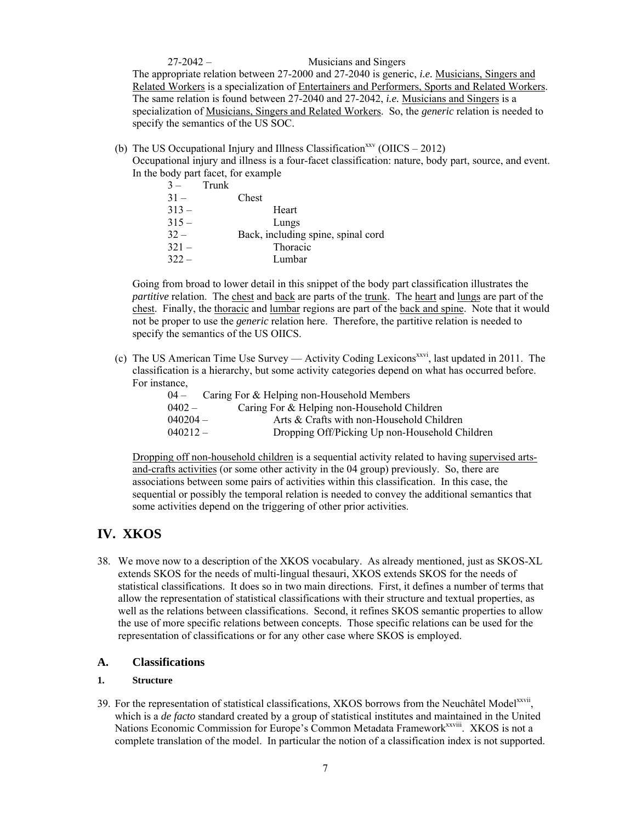#### 27-2042 – Musicians and Singers

The appropriate relation between 27-2000 and 27-2040 is generic, *i.e.* Musicians, Singers and Related Workers is a specialization of Entertainers and Performers, Sports and Related Workers. The same relation is found between 27-2040 and 27-2042, *i.e.* Musicians and Singers is a specialization of Musicians, Singers and Related Workers. So, the *generic* relation is needed to specify the semantics of the US SOC.

(b) The US Occupational Injury and Illness Classification<sup>xxv</sup> (OIICS  $-$  2012)

Occupational injury and illness is a four-facet classification: nature, body part, source, and event. In the body part facet, for example

|         | Trunk |                                    |
|---------|-------|------------------------------------|
| $31 -$  |       | Chest                              |
| $313 -$ |       | Heart                              |
| $315 -$ |       | Lungs                              |
| $32 -$  |       | Back, including spine, spinal cord |
| $321 -$ |       | Thoracic                           |
| $322 -$ |       | Lumbar                             |

Going from broad to lower detail in this snippet of the body part classification illustrates the *partitive* relation. The chest and back are parts of the trunk. The heart and lungs are part of the chest. Finally, the thoracic and lumbar regions are part of the back and spine. Note that it would not be proper to use the *generic* relation here. Therefore, the partitive relation is needed to specify the semantics of the US OIICS.

(c) The US American Time Use Survey — Activity Coding Lexicons<sup>xxvi</sup>, last updated in 2011. The classification is a hierarchy, but some activity categories depend on what has occurred before. For instance,

| $04 -$     | Caring For & Helping non-Household Members     |
|------------|------------------------------------------------|
| $0402 -$   | Caring For & Helping non-Household Children    |
| $040204 -$ | Arts & Crafts with non-Household Children      |
| $040212-$  | Dropping Off/Picking Up non-Household Children |

Dropping off non-household children is a sequential activity related to having supervised artsand-crafts activities (or some other activity in the 04 group) previously. So, there are associations between some pairs of activities within this classification. In this case, the sequential or possibly the temporal relation is needed to convey the additional semantics that some activities depend on the triggering of other prior activities.

# **IV. XKOS**

38. We move now to a description of the XKOS vocabulary. As already mentioned, just as SKOS-XL extends SKOS for the needs of multi-lingual thesauri, XKOS extends SKOS for the needs of statistical classifications. It does so in two main directions. First, it defines a number of terms that allow the representation of statistical classifications with their structure and textual properties, as well as the relations between classifications. Second, it refines SKOS semantic properties to allow the use of more specific relations between concepts. Those specific relations can be used for the representation of classifications or for any other case where SKOS is employed.

#### **A. Classifications**

#### **1. Structure**

39. For the representation of statistical classifications, XKOS borrows from the Neuchâtel Modelx<sup>xvii</sup>, which is a *de facto* standard created by a group of statistical institutes and maintained in the United Nations Economic Commission for Europe's Common Metadata Framework<sup>xxviii</sup>. XKOS is not a complete translation of the model. In particular the notion of a classification index is not supported.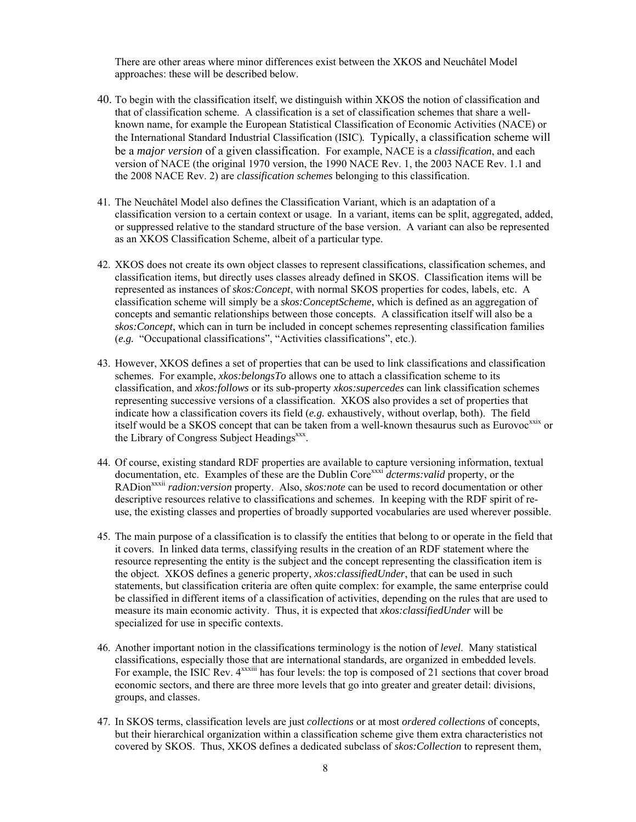There are other areas where minor differences exist between the XKOS and Neuchâtel Model approaches: these will be described below.

- 40. To begin with the classification itself, we distinguish within XKOS the notion of classification and that of classification scheme. A classification is a set of classification schemes that share a wellknown name, for example the European Statistical Classification of Economic Activities (NACE) or the International Standard Industrial Classification (ISIC)*.* Typically, a classification scheme will be a *major version* of a given classification. For example, NACE is a *classification*, and each version of NACE (the original 1970 version, the 1990 NACE Rev. 1, the 2003 NACE Rev. 1.1 and the 2008 NACE Rev. 2) are *classification schemes* belonging to this classification.
- 41. The Neuchâtel Model also defines the Classification Variant, which is an adaptation of a classification version to a certain context or usage. In a variant, items can be split, aggregated, added, or suppressed relative to the standard structure of the base version. A variant can also be represented as an XKOS Classification Scheme, albeit of a particular type.
- 42. XKOS does not create its own object classes to represent classifications, classification schemes, and classification items, but directly uses classes already defined in SKOS. Classification items will be represented as instances of *skos:Concept*, with normal SKOS properties for codes, labels, etc. A classification scheme will simply be a *skos:ConceptScheme*, which is defined as an aggregation of concepts and semantic relationships between those concepts. A classification itself will also be a *skos:Concept*, which can in turn be included in concept schemes representing classification families (*e.g.* "Occupational classifications", "Activities classifications", etc.).
- 43. However, XKOS defines a set of properties that can be used to link classifications and classification schemes. For example, *xkos:belongsTo* allows one to attach a classification scheme to its classification, and *xkos:follows* or its sub-property *xkos:supercedes* can link classification schemes representing successive versions of a classification. XKOS also provides a set of properties that indicate how a classification covers its field (*e.g.* exhaustively, without overlap, both). The field itself would be a SKOS concept that can be taken from a well-known thesaurus such as Eurovoc<sup> $x$ xix</sup> or the Library of Congress Subject Headings<sup>xxx</sup>.
- 44. Of course, existing standard RDF properties are available to capture versioning information, textual documentation, etc. Examples of these are the Dublin Core<sup>xxxi</sup> *dcterms:valid* property, or the RADionxxxii *radion:version* property. Also, *skos:note* can be used to record documentation or other descriptive resources relative to classifications and schemes. In keeping with the RDF spirit of reuse, the existing classes and properties of broadly supported vocabularies are used wherever possible.
- 45. The main purpose of a classification is to classify the entities that belong to or operate in the field that it covers. In linked data terms, classifying results in the creation of an RDF statement where the resource representing the entity is the subject and the concept representing the classification item is the object. XKOS defines a generic property, *xkos:classifiedUnder*, that can be used in such statements, but classification criteria are often quite complex: for example, the same enterprise could be classified in different items of a classification of activities, depending on the rules that are used to measure its main economic activity. Thus, it is expected that *xkos:classifiedUnder* will be specialized for use in specific contexts.
- 46. Another important notion in the classifications terminology is the notion of *level*. Many statistical classifications, especially those that are international standards, are organized in embedded levels. For example, the ISIC Rev. 4<sup>xxxiii</sup> has four levels: the top is composed of 21 sections that cover broad economic sectors, and there are three more levels that go into greater and greater detail: divisions, groups, and classes.
- 47. In SKOS terms, classification levels are just *collections* or at most *ordered collections* of concepts, but their hierarchical organization within a classification scheme give them extra characteristics not covered by SKOS. Thus, XKOS defines a dedicated subclass of *skos:Collection* to represent them,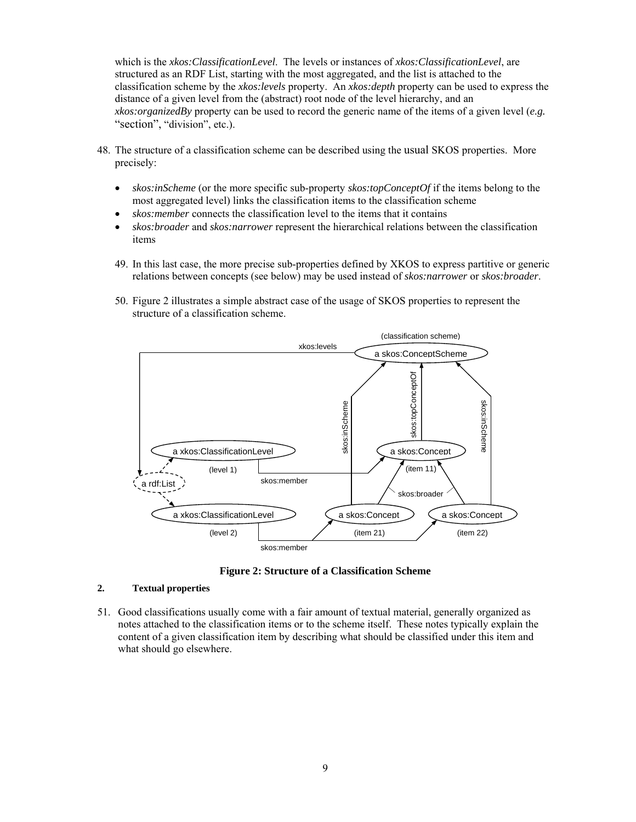which is the *xkos:ClassificationLevel*. The levels or instances of *xkos:ClassificationLevel*, are structured as an RDF List, starting with the most aggregated, and the list is attached to the classification scheme by the *xkos:levels* property. An *xkos:depth* property can be used to express the distance of a given level from the (abstract) root node of the level hierarchy, and an *xkos:organizedBy* property can be used to record the generic name of the items of a given level (*e.g.* "section", "division", etc.).

- 48. The structure of a classification scheme can be described using the usual SKOS properties. More precisely:
	- *skos:inScheme* (or the more specific sub-property *skos:topConceptOf* if the items belong to the most aggregated level) links the classification items to the classification scheme
	- *skos:member* connects the classification level to the items that it contains
	- *skos:broader* and *skos:narrower* represent the hierarchical relations between the classification items
	- 49. In this last case, the more precise sub-properties defined by XKOS to express partitive or generic relations between concepts (see below) may be used instead of *skos:narrower* or *skos:broader*.
	- 50. Figure 2 illustrates a simple abstract case of the usage of SKOS properties to represent the structure of a classification scheme.





#### **2. Textual properties**

51. Good classifications usually come with a fair amount of textual material, generally organized as notes attached to the classification items or to the scheme itself. These notes typically explain the content of a given classification item by describing what should be classified under this item and what should go elsewhere.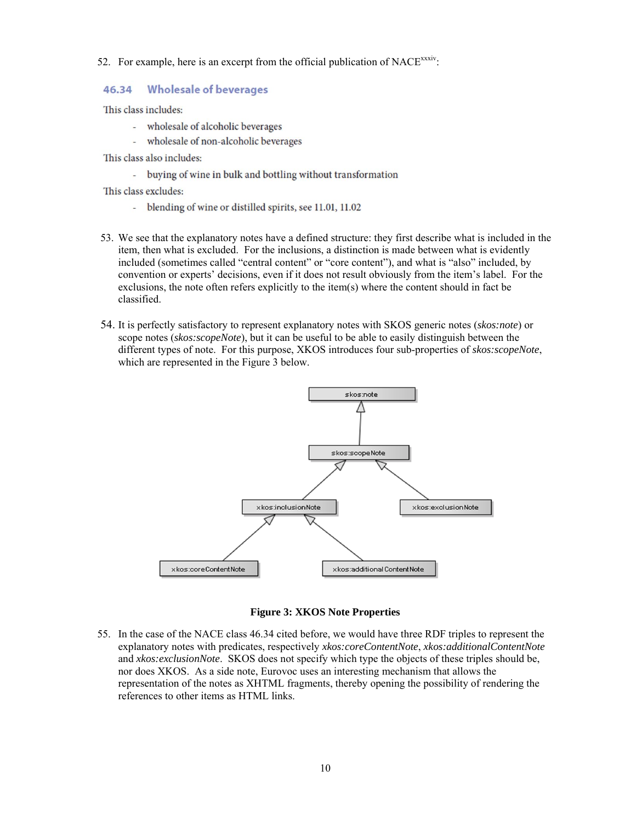52. For example, here is an excerpt from the official publication of NACE<sup>xxxiv</sup>:

#### 46.34 **Wholesale of beverages**

This class includes:

- wholesale of alcoholic beverages
- wholesale of non-alcoholic beverages ÷

This class also includes:

- buying of wine in bulk and bottling without transformation

This class excludes:

- blending of wine or distilled spirits, see 11.01, 11.02
- 53. We see that the explanatory notes have a defined structure: they first describe what is included in the item, then what is excluded. For the inclusions, a distinction is made between what is evidently included (sometimes called "central content" or "core content"), and what is "also" included, by convention or experts' decisions, even if it does not result obviously from the item's label. For the exclusions, the note often refers explicitly to the item(s) where the content should in fact be classified.
- 54. It is perfectly satisfactory to represent explanatory notes with SKOS generic notes (*skos:note*) or scope notes (*skos:scopeNote*), but it can be useful to be able to easily distinguish between the different types of note. For this purpose, XKOS introduces four sub-properties of *skos:scopeNote*, which are represented in the Figure 3 below.



**Figure 3: XKOS Note Properties** 

55. In the case of the NACE class 46.34 cited before, we would have three RDF triples to represent the explanatory notes with predicates, respectively *xkos:coreContentNote*, *xkos:additionalContentNote* and *xkos:exclusionNote*. SKOS does not specify which type the objects of these triples should be, nor does XKOS. As a side note, Eurovoc uses an interesting mechanism that allows the representation of the notes as XHTML fragments, thereby opening the possibility of rendering the references to other items as HTML links.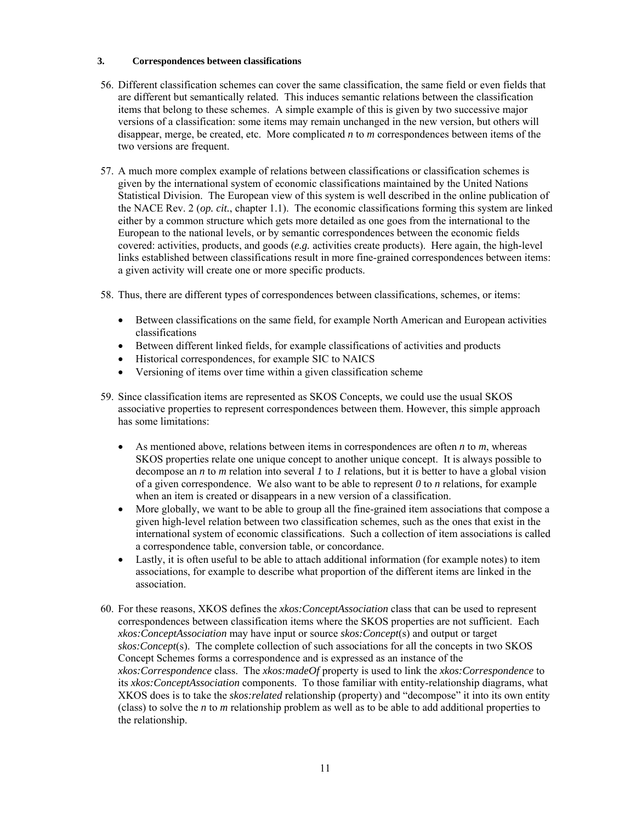#### **3. Correspondences between classifications**

- 56. Different classification schemes can cover the same classification, the same field or even fields that are different but semantically related. This induces semantic relations between the classification items that belong to these schemes. A simple example of this is given by two successive major versions of a classification: some items may remain unchanged in the new version, but others will disappear, merge, be created, etc. More complicated *n* to *m* correspondences between items of the two versions are frequent.
- 57. A much more complex example of relations between classifications or classification schemes is given by the international system of economic classifications maintained by the United Nations Statistical Division. The European view of this system is well described in the online publication of the NACE Rev. 2 (*op. cit.*, chapter 1.1). The economic classifications forming this system are linked either by a common structure which gets more detailed as one goes from the international to the European to the national levels, or by semantic correspondences between the economic fields covered: activities, products, and goods (*e.g.* activities create products). Here again, the high-level links established between classifications result in more fine-grained correspondences between items: a given activity will create one or more specific products.
- 58. Thus, there are different types of correspondences between classifications, schemes, or items:
	- Between classifications on the same field, for example North American and European activities classifications
	- Between different linked fields, for example classifications of activities and products
	- Historical correspondences, for example SIC to NAICS
	- Versioning of items over time within a given classification scheme
- 59. Since classification items are represented as SKOS Concepts, we could use the usual SKOS associative properties to represent correspondences between them. However, this simple approach has some limitations:
	- As mentioned above, relations between items in correspondences are often *n* to *m*, whereas SKOS properties relate one unique concept to another unique concept. It is always possible to decompose an *n* to *m* relation into several *1* to *1* relations, but it is better to have a global vision of a given correspondence. We also want to be able to represent *0* to *n* relations, for example when an item is created or disappears in a new version of a classification.
	- More globally, we want to be able to group all the fine-grained item associations that compose a given high-level relation between two classification schemes, such as the ones that exist in the international system of economic classifications. Such a collection of item associations is called a correspondence table, conversion table, or concordance.
	- Lastly, it is often useful to be able to attach additional information (for example notes) to item associations, for example to describe what proportion of the different items are linked in the association.
- 60. For these reasons, XKOS defines the *xkos:ConceptAssociation* class that can be used to represent correspondences between classification items where the SKOS properties are not sufficient. Each *xkos:ConceptAssociation* may have input or source *skos:Concept*(s) and output or target *skos:Concept*(s). The complete collection of such associations for all the concepts in two SKOS Concept Schemes forms a correspondence and is expressed as an instance of the *xkos:Correspondence* class. The *xkos:madeOf* property is used to link the *xkos:Correspondence* to its *xkos:ConceptAssociation* components. To those familiar with entity-relationship diagrams, what XKOS does is to take the *skos:related* relationship (property) and "decompose" it into its own entity (class) to solve the *n* to *m* relationship problem as well as to be able to add additional properties to the relationship.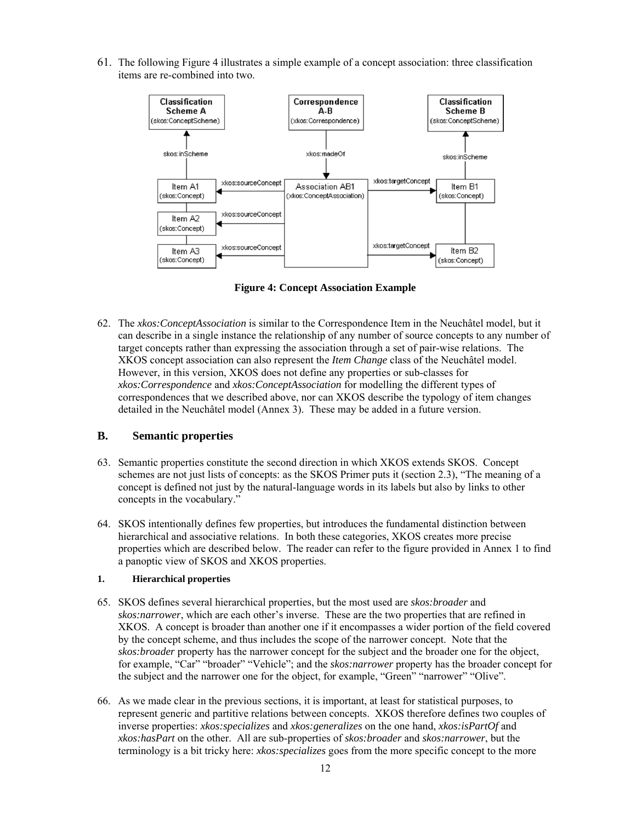61. The following Figure 4 illustrates a simple example of a concept association: three classification items are re-combined into two.



**Figure 4: Concept Association Example** 

62. The *xkos:ConceptAssociation* is similar to the Correspondence Item in the Neuchâtel model, but it can describe in a single instance the relationship of any number of source concepts to any number of target concepts rather than expressing the association through a set of pair-wise relations. The XKOS concept association can also represent the *Item Change* class of the Neuchâtel model. However, in this version, XKOS does not define any properties or sub-classes for *xkos:Correspondence* and *xkos:ConceptAssociation* for modelling the different types of correspondences that we described above, nor can XKOS describe the typology of item changes detailed in the Neuchâtel model (Annex 3). These may be added in a future version.

#### **B. Semantic properties**

- 63. Semantic properties constitute the second direction in which XKOS extends SKOS. Concept schemes are not just lists of concepts: as the SKOS Primer puts it (section 2.3), "The meaning of a concept is defined not just by the natural-language words in its labels but also by links to other concepts in the vocabulary."
- 64. SKOS intentionally defines few properties, but introduces the fundamental distinction between hierarchical and associative relations. In both these categories, XKOS creates more precise properties which are described below. The reader can refer to the figure provided in Annex 1 to find a panoptic view of SKOS and XKOS properties.

#### **1. Hierarchical properties**

- 65. SKOS defines several hierarchical properties, but the most used are *skos:broader* and *skos:narrower*, which are each other's inverse. These are the two properties that are refined in XKOS. A concept is broader than another one if it encompasses a wider portion of the field covered by the concept scheme, and thus includes the scope of the narrower concept. Note that the *skos:broader* property has the narrower concept for the subject and the broader one for the object, for example, "Car" "broader" "Vehicle"; and the *skos:narrower* property has the broader concept for the subject and the narrower one for the object, for example, "Green" "narrower" "Olive".
- 66. As we made clear in the previous sections, it is important, at least for statistical purposes, to represent generic and partitive relations between concepts. XKOS therefore defines two couples of inverse properties: *xkos:specializes* and *xkos:generalizes* on the one hand, *xkos:isPartOf* and *xkos:hasPart* on the other. All are sub-properties of *skos:broader* and *skos:narrower*, but the terminology is a bit tricky here: *xkos:specializes* goes from the more specific concept to the more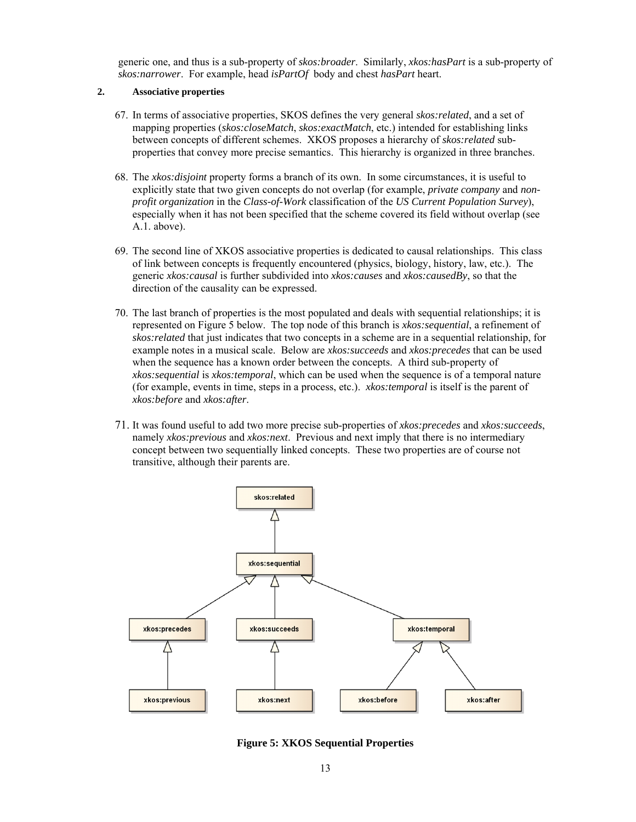generic one, and thus is a sub-property of *skos:broader*. Similarly, *xkos:hasPart* is a sub-property of *skos:narrower*. For example, head *isPartOf* body and chest *hasPart* heart.

#### **2. Associative properties**

- 67. In terms of associative properties, SKOS defines the very general *skos:related*, and a set of mapping properties (*skos:closeMatch*, *skos:exactMatch*, etc.) intended for establishing links between concepts of different schemes. XKOS proposes a hierarchy of *skos:related* subproperties that convey more precise semantics. This hierarchy is organized in three branches.
- 68. The *xkos:disjoint* property forms a branch of its own. In some circumstances, it is useful to explicitly state that two given concepts do not overlap (for example, *private company* and *nonprofit organization* in the *Class-of-Work* classification of the *US Current Population Survey*), especially when it has not been specified that the scheme covered its field without overlap (see A.1. above).
- 69. The second line of XKOS associative properties is dedicated to causal relationships. This class of link between concepts is frequently encountered (physics, biology, history, law, etc.). The generic *xkos:causal* is further subdivided into *xkos:causes* and *xkos:causedBy*, so that the direction of the causality can be expressed.
- 70. The last branch of properties is the most populated and deals with sequential relationships; it is represented on Figure 5 below. The top node of this branch is *xkos:sequential*, a refinement of *skos:related* that just indicates that two concepts in a scheme are in a sequential relationship, for example notes in a musical scale. Below are *xkos:succeeds* and *xkos:precedes* that can be used when the sequence has a known order between the concepts. A third sub-property of *xkos:sequential* is *xkos:temporal*, which can be used when the sequence is of a temporal nature (for example, events in time, steps in a process, etc.). *xkos:temporal* is itself is the parent of *xkos:before* and *xkos:after*.
- 71. It was found useful to add two more precise sub-properties of *xkos:precedes* and *xkos:succeeds*, namely *xkos:previous* and *xkos:next*. Previous and next imply that there is no intermediary concept between two sequentially linked concepts. These two properties are of course not transitive, although their parents are.



**Figure 5: XKOS Sequential Properties**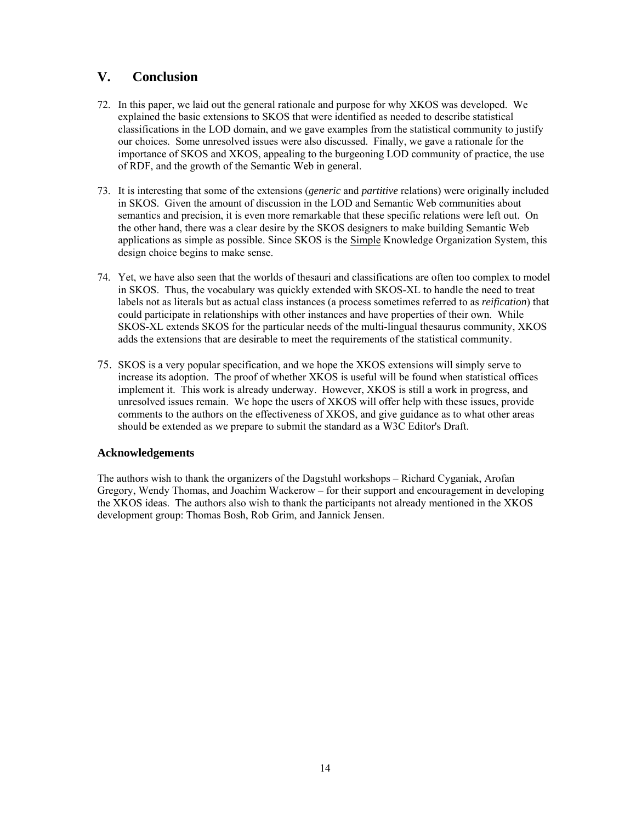# **V. Conclusion**

- 72. In this paper, we laid out the general rationale and purpose for why XKOS was developed. We explained the basic extensions to SKOS that were identified as needed to describe statistical classifications in the LOD domain, and we gave examples from the statistical community to justify our choices. Some unresolved issues were also discussed. Finally, we gave a rationale for the importance of SKOS and XKOS, appealing to the burgeoning LOD community of practice, the use of RDF, and the growth of the Semantic Web in general.
- 73. It is interesting that some of the extensions (*generic* and *partitive* relations) were originally included in SKOS. Given the amount of discussion in the LOD and Semantic Web communities about semantics and precision, it is even more remarkable that these specific relations were left out. On the other hand, there was a clear desire by the SKOS designers to make building Semantic Web applications as simple as possible. Since SKOS is the Simple Knowledge Organization System, this design choice begins to make sense.
- 74. Yet, we have also seen that the worlds of thesauri and classifications are often too complex to model in SKOS. Thus, the vocabulary was quickly extended with SKOS-XL to handle the need to treat labels not as literals but as actual class instances (a process sometimes referred to as *reification*) that could participate in relationships with other instances and have properties of their own. While SKOS-XL extends SKOS for the particular needs of the multi-lingual thesaurus community, XKOS adds the extensions that are desirable to meet the requirements of the statistical community.
- 75. SKOS is a very popular specification, and we hope the XKOS extensions will simply serve to increase its adoption. The proof of whether XKOS is useful will be found when statistical offices implement it. This work is already underway. However, XKOS is still a work in progress, and unresolved issues remain. We hope the users of XKOS will offer help with these issues, provide comments to the authors on the effectiveness of XKOS, and give guidance as to what other areas should be extended as we prepare to submit the standard as a W3C Editor's Draft.

#### **Acknowledgements**

The authors wish to thank the organizers of the Dagstuhl workshops – Richard Cyganiak, Arofan Gregory, Wendy Thomas, and Joachim Wackerow – for their support and encouragement in developing the XKOS ideas. The authors also wish to thank the participants not already mentioned in the XKOS development group: Thomas Bosh, Rob Grim, and Jannick Jensen.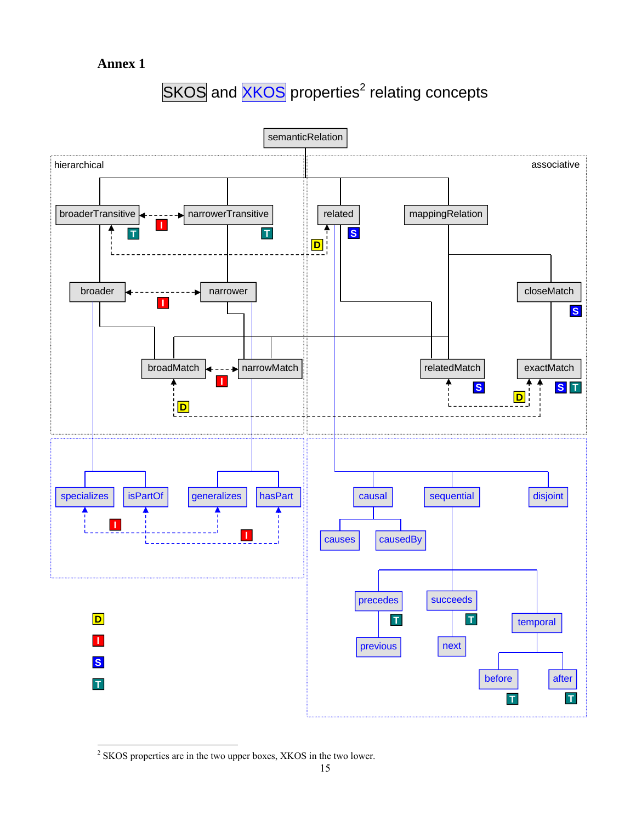# **Annex 1**

# SKOS and XKOS properties<sup>2</sup> relating concepts



<sup>&</sup>lt;sup>2</sup> SKOS properties are in the two upper boxes, XKOS in the two lower.